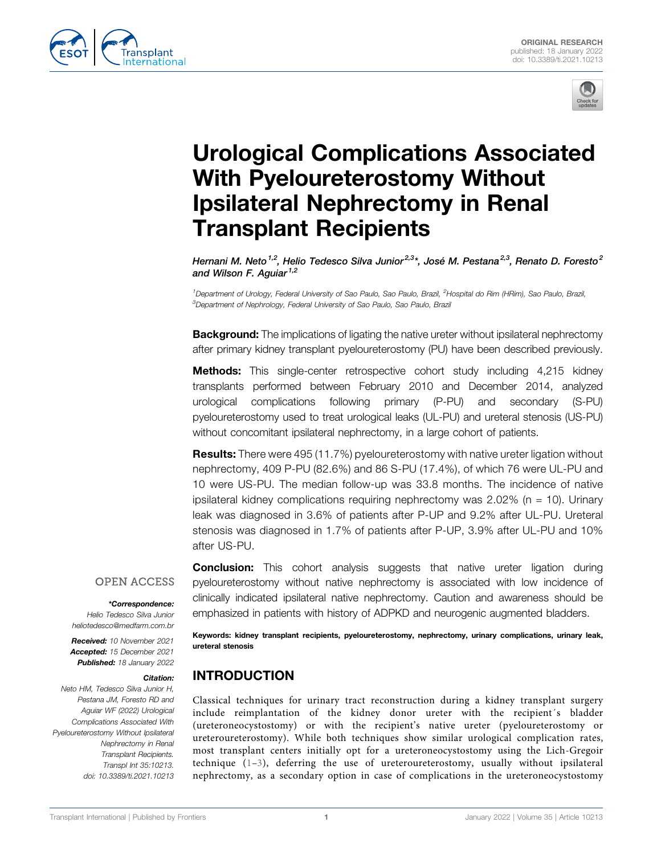



# Urological Complications Associated With Pyeloureterostomy Without Ipsilateral Nephrectomy in Renal Transplant Recipients

Hernani M. Neto  $^{1,2}$ , Helio Tedesco Silva Junior $^{2,3*}$ , José M. Pestana $^{2,3}$ , Renato D. Foresto $^2$ and Wilson F. Aguiar<sup>1,2</sup>

<sup>1</sup>Department of Urology, Federal University of Sao Paulo, Sao Paulo, Brazil, <sup>2</sup>Hospital do Rim (HRim), Sao Paulo, Brazil, <sup>3</sup>Department of Nephrology, Federal University of Sao Paulo, Sao Paulo, Brazil

**Background:** The implications of ligating the native ureter without ipsilateral nephrectomy after primary kidney transplant pyeloureterostomy (PU) have been described previously.

Methods: This single-center retrospective cohort study including 4,215 kidney transplants performed between February 2010 and December 2014, analyzed urological complications following primary (P-PU) and secondary (S-PU) pyeloureterostomy used to treat urological leaks (UL-PU) and ureteral stenosis (US-PU) without concomitant ipsilateral nephrectomy, in a large cohort of patients.

Results: There were 495 (11.7%) pyeloureterostomy with native ureter ligation without nephrectomy, 409 P-PU (82.6%) and 86 S-PU (17.4%), of which 76 were UL-PU and 10 were US-PU. The median follow-up was 33.8 months. The incidence of native ipsilateral kidney complications requiring nephrectomy was  $2.02\%$  (n = 10). Urinary leak was diagnosed in 3.6% of patients after P-UP and 9.2% after UL-PU. Ureteral stenosis was diagnosed in 1.7% of patients after P-UP, 3.9% after UL-PU and 10% after US-PU.

## **OPEN ACCESS**

## \*Correspondence:

Helio Tedesco Silva Junior [heliotedesco@medfarm.com.br](mailto:heliotedesco@medfarm.com.br)

Received: 10 November 2021 Accepted: 15 December 2021 Published: 18 January 2022

## Citation:

Neto HM, Tedesco Silva Junior H, Pestana JM, Foresto RD and Aguiar WF (2022) Urological Complications Associated With Pyeloureterostomy Without Ipsilateral Nephrectomy in Renal Transplant Recipients. Transpl Int 35:10213. doi: [10.3389/ti.2021.10213](https://doi.org/10.3389/ti.2021.10213)

**Conclusion:** This cohort analysis suggests that native ureter ligation during pyeloureterostomy without native nephrectomy is associated with low incidence of clinically indicated ipsilateral native nephrectomy. Caution and awareness should be emphasized in patients with history of ADPKD and neurogenic augmented bladders.

Keywords: kidney transplant recipients, pyeloureterostomy, nephrectomy, urinary complications, urinary leak, ureteral stenosis

# INTRODUCTION

Classical techniques for urinary tract reconstruction during a kidney transplant surgery include reimplantation of the kidney donor ureter with the recipient´s bladder (ureteroneocystostomy) or with the recipient's native ureter (pyeloureterostomy or ureteroureterostomy). While both techniques show similar urological complication rates, most transplant centers initially opt for a ureteroneocystostomy using the Lich-Gregoir technique ([1](#page-4-0)–[3](#page-4-1)), deferring the use of ureteroureterostomy, usually without ipsilateral nephrectomy, as a secondary option in case of complications in the ureteroneocystostomy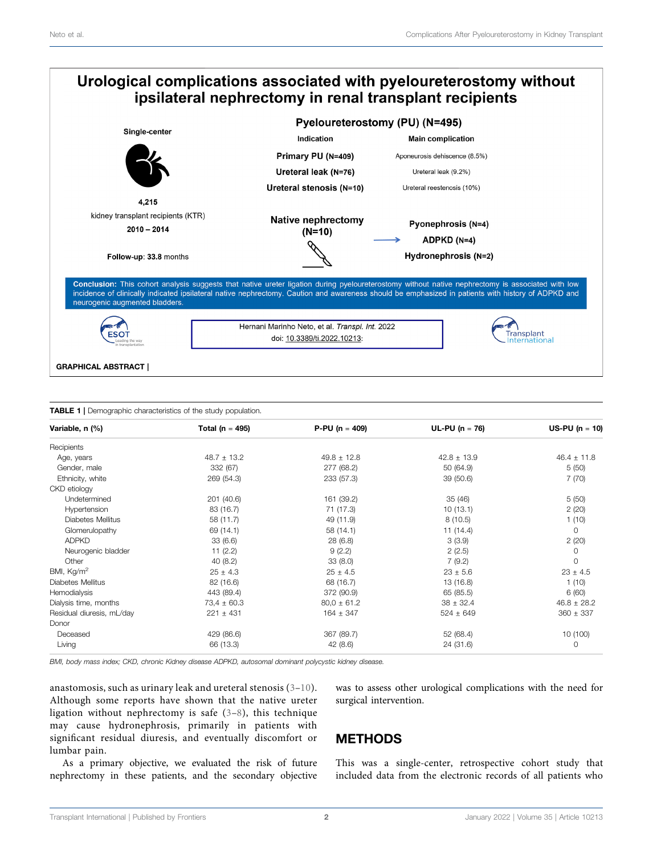

#### <span id="page-1-0"></span>TABLE 1 | Demographic characteristics of the study population.

| Variable, n (%)           | Total ( $n = 495$ ) | $P-PU (n = 409)$ | $UL-PU (n = 76)$ | $US-PU (n = 10)$ |
|---------------------------|---------------------|------------------|------------------|------------------|
| Recipients                |                     |                  |                  |                  |
| Age, years                | $48.7 \pm 13.2$     | $49.8 \pm 12.8$  | $42.8 \pm 13.9$  | $46.4 \pm 11.8$  |
| Gender, male              | 332 (67)            | 277 (68.2)       | 50 (64.9)        | 5(50)            |
| Ethnicity, white          | 269 (54.3)          | 233 (57.3)       | 39 (50.6)        | 7(70)            |
| CKD etiology              |                     |                  |                  |                  |
| Undetermined              | 201 (40.6)          | 161 (39.2)       | 35(46)           | 5(50)            |
| Hypertension              | 83 (16.7)           | 71 (17.3)        | 10(13.1)         | 2(20)            |
| Diabetes Mellitus         | 58 (11.7)           | 49 (11.9)        | 8(10.5)          | 1(10)            |
| Glomerulopathy            | 69 (14.1)           | 58 (14.1)        | 11(14.4)         | 0                |
| <b>ADPKD</b>              | 33(6.6)             | 28(6.8)          | 3(3.9)           | 2(20)            |
| Neurogenic bladder        | 11(2.2)             | 9(2.2)           | 2(2.5)           | 0                |
| Other                     | 40(8.2)             | 33(8.0)          | 7(9.2)           | 0                |
| BMI, Kg/m <sup>2</sup>    | $25 \pm 4.3$        | $25 \pm 4.5$     | $23 \pm 5.6$     | $23 \pm 4.5$     |
| Diabetes Mellitus         | 82 (16.6)           | 68 (16.7)        | 13 (16.8)        | 1(10)            |
| Hemodialysis              | 443 (89.4)          | 372 (90.9)       | 65 (85.5)        | 6(60)            |
| Dialysis time, months     | $73.4 \pm 60.3$     | $80.0 \pm 61.2$  | $38 \pm 32.4$    | $46.8 \pm 28.2$  |
| Residual diuresis, mL/day | $221 \pm 431$       | $164 \pm 347$    | $524 \pm 649$    | $360 \pm 337$    |
| Donor                     |                     |                  |                  |                  |
| Deceased                  | 429 (86.6)          | 367 (89.7)       | 52 (68.4)        | 10 (100)         |
| Living                    | 66 (13.3)           | 42(8.6)          | 24 (31.6)        | 0                |

BMI, body mass index; CKD, chronic Kidney disease ADPKD, autosomal dominant polycystic kidney disease.

anastomosis, such as urinary leak and ureteral stenosis [\(3](#page-4-1)–[10\)](#page-5-0). Although some reports have shown that the native ureter ligation without nephrectomy is safe [\(3](#page-4-1)–[8\)](#page-5-1), this technique may cause hydronephrosis, primarily in patients with significant residual diuresis, and eventually discomfort or lumbar pain.

As a primary objective, we evaluated the risk of future nephrectomy in these patients, and the secondary objective was to assess other urological complications with the need for surgical intervention.

## METHODS

This was a single-center, retrospective cohort study that included data from the electronic records of all patients who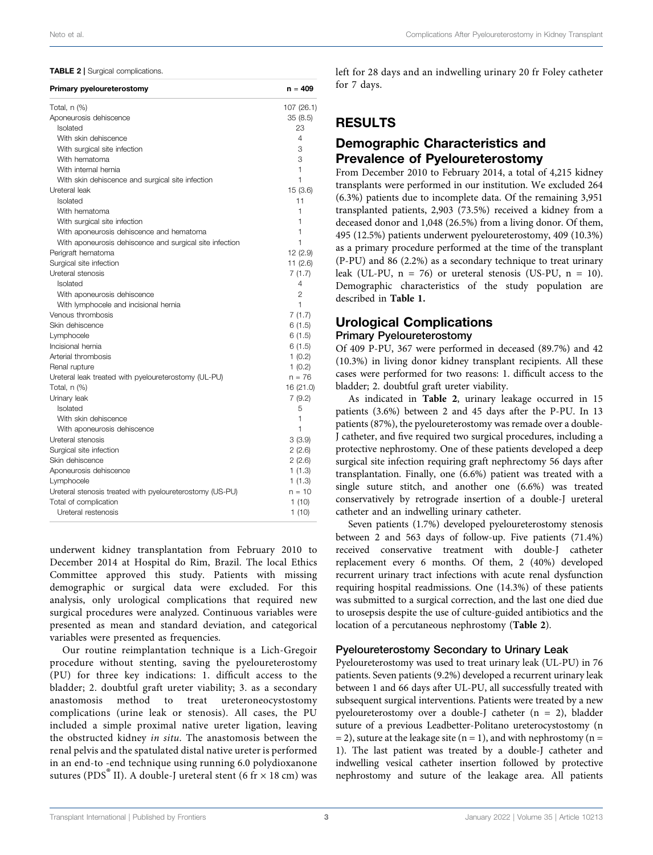#### <span id="page-2-0"></span>TABLE 2 | Surgical complications.

| Primary pyeloureterostomy                                | $n = 409$  |
|----------------------------------------------------------|------------|
| Total, n (%)                                             | 107 (26.1) |
| Aponeurosis dehiscence                                   | 35(8.5)    |
| Isolated                                                 | 23         |
| With skin dehiscence                                     | 4          |
| With surgical site infection                             | 3          |
| With hematoma                                            | 3          |
| With internal hernia                                     | 1          |
| With skin dehiscence and surgical site infection         | 1          |
| Ureteral leak                                            | 15(3.6)    |
| Isolated                                                 | 11         |
| With hematoma                                            | 1          |
| With surgical site infection                             | 1          |
| With aponeurosis dehiscence and hematoma                 | 1          |
| With aponeurosis dehiscence and surgical site infection  | 1          |
| Perigraft hematoma                                       | 12 (2.9)   |
| Surgical site infection                                  | 11(2.6)    |
| Ureteral stenosis                                        | 7(1.7)     |
| Isolated                                                 | 4          |
| With aponeurosis dehiscence                              | 2          |
| With lymphocele and incisional hernia                    | 1          |
| Venous thrombosis                                        | 7(1.7)     |
| Skin dehiscence                                          | 6(1.5)     |
| Lymphocele                                               | 6(1.5)     |
| Incisional hernia                                        | 6(1.5)     |
| Arterial thrombosis                                      | 1(0.2)     |
| Renal rupture                                            | 1(0.2)     |
| Ureteral leak treated with pyeloureterostomy (UL-PU)     | n = 76     |
| Total, $n$ $%$                                           | 16 (21.0)  |
| Urinary leak                                             | 7(9.2)     |
| Isolated                                                 | 5          |
| With skin dehiscence                                     | 1          |
| With aponeurosis dehiscence                              | 1          |
| Ureteral stenosis                                        | 3(3.9)     |
| Surgical site infection                                  | 2(2.6)     |
| Skin dehiscence                                          | 2(2.6)     |
| Aponeurosis dehiscence                                   | 1(1.3)     |
| Lymphocele                                               | 1(1.3)     |
| Ureteral stenosis treated with pyeloureterostomy (US-PU) | $n = 10$   |
| Total of complication                                    | 1 (10)     |
| Ureteral restenosis                                      | 1(10)      |

underwent kidney transplantation from February 2010 to December 2014 at Hospital do Rim, Brazil. The local Ethics Committee approved this study. Patients with missing demographic or surgical data were excluded. For this analysis, only urological complications that required new surgical procedures were analyzed. Continuous variables were presented as mean and standard deviation, and categorical variables were presented as frequencies.

Our routine reimplantation technique is a Lich-Gregoir procedure without stenting, saving the pyeloureterostomy (PU) for three key indications: 1. difficult access to the bladder; 2. doubtful graft ureter viability; 3. as a secondary anastomosis method to treat ureteroneocystostomy complications (urine leak or stenosis). All cases, the PU included a simple proximal native ureter ligation, leaving the obstructed kidney in situ. The anastomosis between the renal pelvis and the spatulated distal native ureter is performed in an end-to -end technique using running 6.0 polydioxanone sutures (PDS<sup>®</sup> II). A double-J ureteral stent (6 fr  $\times$  18 cm) was

left for 28 days and an indwelling urinary 20 fr Foley catheter for 7 days.

# RESULTS

## Demographic Characteristics and Prevalence of Pyeloureterostomy

From December 2010 to February 2014, a total of 4,215 kidney transplants were performed in our institution. We excluded 264 (6.3%) patients due to incomplete data. Of the remaining 3,951 transplanted patients, 2,903 (73.5%) received a kidney from a deceased donor and 1,048 (26.5%) from a living donor. Of them, 495 (12.5%) patients underwent pyeloureterostomy, 409 (10.3%) as a primary procedure performed at the time of the transplant (P-PU) and 86 (2.2%) as a secondary technique to treat urinary leak (UL-PU,  $n = 76$ ) or ureteral stenosis (US-PU,  $n = 10$ ). Demographic characteristics of the study population are described in [Table 1.](#page-1-0)

## Urological Complications

## Primary Pyeloureterostomy

Of 409 P-PU, 367 were performed in deceased (89.7%) and 42 (10.3%) in living donor kidney transplant recipients. All these cases were performed for two reasons: 1. difficult access to the bladder; 2. doubtful graft ureter viability.

As indicated in [Table 2](#page-2-0), urinary leakage occurred in 15 patients (3.6%) between 2 and 45 days after the P-PU. In 13 patients (87%), the pyeloureterostomy was remade over a double-J catheter, and five required two surgical procedures, including a protective nephrostomy. One of these patients developed a deep surgical site infection requiring graft nephrectomy 56 days after transplantation. Finally, one (6.6%) patient was treated with a single suture stitch, and another one (6.6%) was treated conservatively by retrograde insertion of a double-J ureteral catheter and an indwelling urinary catheter.

Seven patients (1.7%) developed pyeloureterostomy stenosis between 2 and 563 days of follow-up. Five patients (71.4%) received conservative treatment with double-J catheter replacement every 6 months. Of them, 2 (40%) developed recurrent urinary tract infections with acute renal dysfunction requiring hospital readmissions. One (14.3%) of these patients was submitted to a surgical correction, and the last one died due to urosepsis despite the use of culture-guided antibiotics and the location of a percutaneous nephrostomy ([Table 2](#page-2-0)).

## Pyeloureterostomy Secondary to Urinary Leak

Pyeloureterostomy was used to treat urinary leak (UL-PU) in 76 patients. Seven patients (9.2%) developed a recurrent urinary leak between 1 and 66 days after UL-PU, all successfully treated with subsequent surgical interventions. Patients were treated by a new pyeloureterostomy over a double-J catheter  $(n = 2)$ , bladder suture of a previous Leadbetter-Politano ureterocystostomy (n  $=$  2), suture at the leakage site (n = 1), and with nephrostomy (n = 1). The last patient was treated by a double-J catheter and indwelling vesical catheter insertion followed by protective nephrostomy and suture of the leakage area. All patients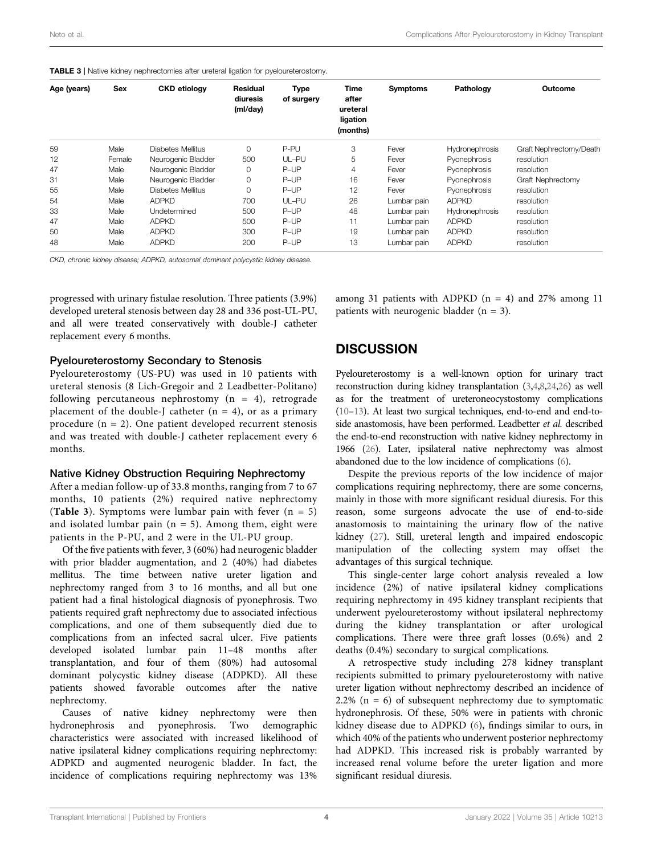<span id="page-3-0"></span>

| <b>TABLE 3</b>   Native kidney nephrectomies after ureteral ligation for pyeloureterostomy. |  |  |  |
|---------------------------------------------------------------------------------------------|--|--|--|
|---------------------------------------------------------------------------------------------|--|--|--|

| Age (years) | Sex    | <b>CKD</b> etiology | Residual<br>diuresis<br>(ml/day) | <b>Type</b><br>of surgery | <b>Time</b><br>after<br>ureteral<br>ligation<br>(months) | <b>Symptoms</b> | Pathology             | Outcome                 |
|-------------|--------|---------------------|----------------------------------|---------------------------|----------------------------------------------------------|-----------------|-----------------------|-------------------------|
| 59          | Male   | Diabetes Mellitus   | 0                                | P-PU                      | 3                                                        | Fever           | Hydronephrosis        | Graft Nephrectomy/Death |
| 12          | Female | Neurogenic Bladder  | 500                              | UL-PU                     | 5                                                        | Fever           | Pyonephrosis          | resolution              |
| 47          | Male   | Neurogenic Bladder  | 0                                | P-UP                      | $\overline{4}$                                           | Fever           | Pyonephrosis          | resolution              |
| 31          | Male   | Neurogenic Bladder  | 0                                | P-UP                      | 16                                                       | Fever           | Pyonephrosis          | Graft Nephrectomy       |
| 55          | Male   | Diabetes Mellitus   | 0                                | P-UP                      | 12                                                       | Fever           | Pyonephrosis          | resolution              |
| 54          | Male   | <b>ADPKD</b>        | 700                              | UL-PU                     | 26                                                       | Lumbar pain     | <b>ADPKD</b>          | resolution              |
| 33          | Male   | Undetermined        | 500                              | P-UP                      | 48                                                       | Lumbar pain     | <b>Hydronephrosis</b> | resolution              |
| 47          | Male   | <b>ADPKD</b>        | 500                              | P-UP                      | 11                                                       | Lumbar pain     | <b>ADPKD</b>          | resolution              |
| 50          | Male   | <b>ADPKD</b>        | 300                              | P-UP                      | 19                                                       | Lumbar pain     | <b>ADPKD</b>          | resolution              |
| 48          | Male   | <b>ADPKD</b>        | 200                              | P-UP                      | 13                                                       | Lumbar pain     | <b>ADPKD</b>          | resolution              |
|             |        |                     |                                  |                           |                                                          |                 |                       |                         |

CKD, chronic kidney disease; ADPKD, autosomal dominant polycystic kidney disease.

progressed with urinary fistulae resolution. Three patients (3.9%) developed ureteral stenosis between day 28 and 336 post-UL-PU, and all were treated conservatively with double-J catheter replacement every 6 months.

## Pyeloureterostomy Secondary to Stenosis

Pyeloureterostomy (US-PU) was used in 10 patients with ureteral stenosis (8 Lich-Gregoir and 2 Leadbetter-Politano) following percutaneous nephrostomy  $(n = 4)$ , retrograde placement of the double-J catheter  $(n = 4)$ , or as a primary procedure  $(n = 2)$ . One patient developed recurrent stenosis and was treated with double-J catheter replacement every 6 months.

## Native Kidney Obstruction Requiring Nephrectomy

After a median follow-up of 33.8 months, ranging from 7 to 67 months, 10 patients (2%) required native nephrectomy ([Table 3](#page-3-0)). Symptoms were lumbar pain with fever  $(n = 5)$ and isolated lumbar pain  $(n = 5)$ . Among them, eight were patients in the P-PU, and 2 were in the UL-PU group.

Of the five patients with fever, 3 (60%) had neurogenic bladder with prior bladder augmentation, and 2 (40%) had diabetes mellitus. The time between native ureter ligation and nephrectomy ranged from 3 to 16 months, and all but one patient had a final histological diagnosis of pyonephrosis. Two patients required graft nephrectomy due to associated infectious complications, and one of them subsequently died due to complications from an infected sacral ulcer. Five patients developed isolated lumbar pain 11–48 months after transplantation, and four of them (80%) had autosomal dominant polycystic kidney disease (ADPKD). All these patients showed favorable outcomes after the native nephrectomy.

Causes of native kidney nephrectomy were then hydronephrosis and pyonephrosis. Two demographic characteristics were associated with increased likelihood of native ipsilateral kidney complications requiring nephrectomy: ADPKD and augmented neurogenic bladder. In fact, the incidence of complications requiring nephrectomy was 13%

among 31 patients with ADPKD ( $n = 4$ ) and 27% among 11 patients with neurogenic bladder  $(n = 3)$ .

## **DISCUSSION**

Pyeloureterostomy is a well-known option for urinary tract reconstruction during kidney transplantation ([3](#page-4-1)[,4](#page-4-2)[,8,](#page-5-1)[24](#page-5-2)[,26\)](#page-5-3) as well as for the treatment of ureteroneocystostomy complications [\(10](#page-5-0)–[13](#page-5-4)). At least two surgical techniques, end-to-end and end-toside anastomosis, have been performed. Leadbetter et al. described the end-to-end reconstruction with native kidney nephrectomy in 1966 [\(26](#page-5-3)). Later, ipsilateral native nephrectomy was almost abandoned due to the low incidence of complications [\(6\)](#page-5-5).

Despite the previous reports of the low incidence of major complications requiring nephrectomy, there are some concerns, mainly in those with more significant residual diuresis. For this reason, some surgeons advocate the use of end-to-side anastomosis to maintaining the urinary flow of the native kidney ([27\)](#page-5-6). Still, ureteral length and impaired endoscopic manipulation of the collecting system may offset the advantages of this surgical technique.

This single-center large cohort analysis revealed a low incidence (2%) of native ipsilateral kidney complications requiring nephrectomy in 495 kidney transplant recipients that underwent pyeloureterostomy without ipsilateral nephrectomy during the kidney transplantation or after urological complications. There were three graft losses (0.6%) and 2 deaths (0.4%) secondary to surgical complications.

A retrospective study including 278 kidney transplant recipients submitted to primary pyeloureterostomy with native ureter ligation without nephrectomy described an incidence of 2.2% ( $n = 6$ ) of subsequent nephrectomy due to symptomatic hydronephrosis. Of these, 50% were in patients with chronic kidney disease due to ADPKD [\(6\)](#page-5-5), findings similar to ours, in which 40% of the patients who underwent posterior nephrectomy had ADPKD. This increased risk is probably warranted by increased renal volume before the ureter ligation and more significant residual diuresis.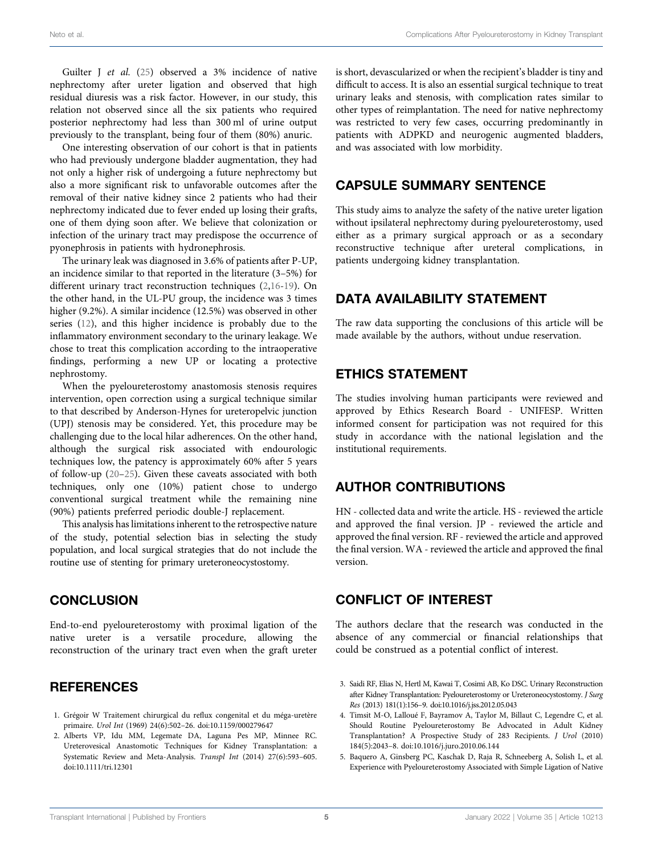Guilter J et al. ([25\)](#page-5-7) observed a 3% incidence of native nephrectomy after ureter ligation and observed that high residual diuresis was a risk factor. However, in our study, this relation not observed since all the six patients who required posterior nephrectomy had less than 300 ml of urine output previously to the transplant, being four of them (80%) anuric.

One interesting observation of our cohort is that in patients who had previously undergone bladder augmentation, they had not only a higher risk of undergoing a future nephrectomy but also a more significant risk to unfavorable outcomes after the removal of their native kidney since 2 patients who had their nephrectomy indicated due to fever ended up losing their grafts, one of them dying soon after. We believe that colonization or infection of the urinary tract may predispose the occurrence of pyonephrosis in patients with hydronephrosis.

The urinary leak was diagnosed in 3.6% of patients after P-UP, an incidence similar to that reported in the literature (3–5%) for different urinary tract reconstruction techniques ([2](#page-4-3),[16-](#page-5-8)[19\)](#page-5-9). On the other hand, in the UL-PU group, the incidence was 3 times higher (9.2%). A similar incidence (12.5%) was observed in other series ([12\)](#page-5-10), and this higher incidence is probably due to the inflammatory environment secondary to the urinary leakage. We chose to treat this complication according to the intraoperative findings, performing a new UP or locating a protective nephrostomy.

When the pyeloureterostomy anastomosis stenosis requires intervention, open correction using a surgical technique similar to that described by Anderson-Hynes for ureteropelvic junction (UPJ) stenosis may be considered. Yet, this procedure may be challenging due to the local hilar adherences. On the other hand, although the surgical risk associated with endourologic techniques low, the patency is approximately 60% after 5 years of follow-up ([20](#page-5-11)–[25](#page-5-7)). Given these caveats associated with both techniques, only one (10%) patient chose to undergo conventional surgical treatment while the remaining nine (90%) patients preferred periodic double-J replacement.

This analysis has limitations inherent to the retrospective nature of the study, potential selection bias in selecting the study population, and local surgical strategies that do not include the routine use of stenting for primary ureteroneocystostomy.

# **CONCLUSION**

End-to-end pyeloureterostomy with proximal ligation of the native ureter is a versatile procedure, allowing the reconstruction of the urinary tract even when the graft ureter

## **REFERENCES**

- <span id="page-4-0"></span>1. Grégoir W Traitement chirurgical du reflux congenital et du méga-uretère primaire. Urol Int (1969) 24(6):502–26. doi[:10.1159/000279647](https://doi.org/10.1159/000279647)
- <span id="page-4-3"></span>2. Alberts VP, Idu MM, Legemate DA, Laguna Pes MP, Minnee RC. Ureterovesical Anastomotic Techniques for Kidney Transplantation: a Systematic Review and Meta-Analysis. Transpl Int (2014) 27(6):593–605. doi[:10.1111/tri.12301](https://doi.org/10.1111/tri.12301)

is short, devascularized or when the recipient's bladder is tiny and difficult to access. It is also an essential surgical technique to treat urinary leaks and stenosis, with complication rates similar to other types of reimplantation. The need for native nephrectomy was restricted to very few cases, occurring predominantly in patients with ADPKD and neurogenic augmented bladders, and was associated with low morbidity.

## CAPSULE SUMMARY SENTENCE

This study aims to analyze the safety of the native ureter ligation without ipsilateral nephrectomy during pyeloureterostomy, used either as a primary surgical approach or as a secondary reconstructive technique after ureteral complications, in patients undergoing kidney transplantation.

## DATA AVAILABILITY STATEMENT

The raw data supporting the conclusions of this article will be made available by the authors, without undue reservation.

## ETHICS STATEMENT

The studies involving human participants were reviewed and approved by Ethics Research Board - UNIFESP. Written informed consent for participation was not required for this study in accordance with the national legislation and the institutional requirements.

# AUTHOR CONTRIBUTIONS

HN - collected data and write the article. HS - reviewed the article and approved the final version. JP - reviewed the article and approved the final version. RF - reviewed the article and approved the final version. WA - reviewed the article and approved the final version.

## CONFLICT OF INTEREST

The authors declare that the research was conducted in the absence of any commercial or financial relationships that could be construed as a potential conflict of interest.

- <span id="page-4-1"></span>3. Saidi RF, Elias N, Hertl M, Kawai T, Cosimi AB, Ko DSC. Urinary Reconstruction after Kidney Transplantation: Pyeloureterostomy or Ureteroneocystostomy. J Surg Res (2013) 181(1):156–9. doi[:10.1016/j.jss.2012.05.043](https://doi.org/10.1016/j.jss.2012.05.043)
- <span id="page-4-2"></span>4. Timsit M-O, Lalloué F, Bayramov A, Taylor M, Billaut C, Legendre C, et al. Should Routine Pyeloureterostomy Be Advocated in Adult Kidney Transplantation? A Prospective Study of 283 Recipients. J Urol (2010) 184(5):2043–8. doi[:10.1016/j.juro.2010.06.144](https://doi.org/10.1016/j.juro.2010.06.144)
- 5. Baquero A, Ginsberg PC, Kaschak D, Raja R, Schneeberg A, Solish L, et al. Experience with Pyeloureterostomy Associated with Simple Ligation of Native